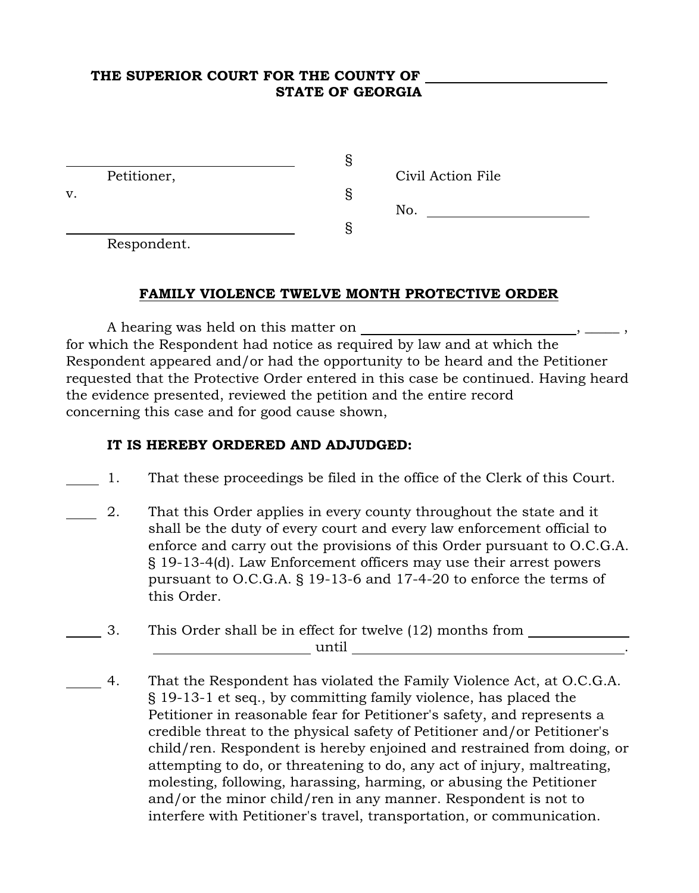#### THE SUPERIOR COURT FOR THE COUNTY OF STATE OF GEORGIA

|    |                                              | ت |                   |
|----|----------------------------------------------|---|-------------------|
|    | Petitioner,                                  |   | Civil Action File |
| v. |                                              |   |                   |
|    |                                              |   | No.               |
|    |                                              |   |                   |
|    | $\mathbf{D}$ and a set of a set $\mathbf{A}$ |   |                   |

Respondent.

### FAMILY VIOLENCE TWELVE MONTH PROTECTIVE ORDER

A hearing was held on this matter on for which the Respondent had notice as required by law and at which the Respondent appeared and/or had the opportunity to be heard and the Petitioner requested that the Protective Order entered in this case be continued. Having heard the evidence presented, reviewed the petition and the entire record concerning this case and for good cause shown,

### IT IS HEREBY ORDERED AND ADJUDGED:

- 1. That these proceedings be filed in the office of the Clerk of this Court.
- 2. That this Order applies in every county throughout the state and it shall be the duty of every court and every law enforcement official to enforce and carry out the provisions of this Order pursuant to O.C.G.A. § 19-13-4(d). Law Enforcement officers may use their arrest powers pursuant to O.C.G.A. § 19-13-6 and 17-4-20 to enforce the terms of this Order.
- 3. This Order shall be in effect for twelve (12) months from until .
- 4. That the Respondent has violated the Family Violence Act, at O.C.G.A. § 19-13-1 et seq., by committing family violence, has placed the Petitioner in reasonable fear for Petitioner's safety, and represents a credible threat to the physical safety of Petitioner and/or Petitioner's child/ren. Respondent is hereby enjoined and restrained from doing, or attempting to do, or threatening to do, any act of injury, maltreating, molesting, following, harassing, harming, or abusing the Petitioner and/or the minor child/ren in any manner. Respondent is not to interfere with Petitioner's travel, transportation, or communication.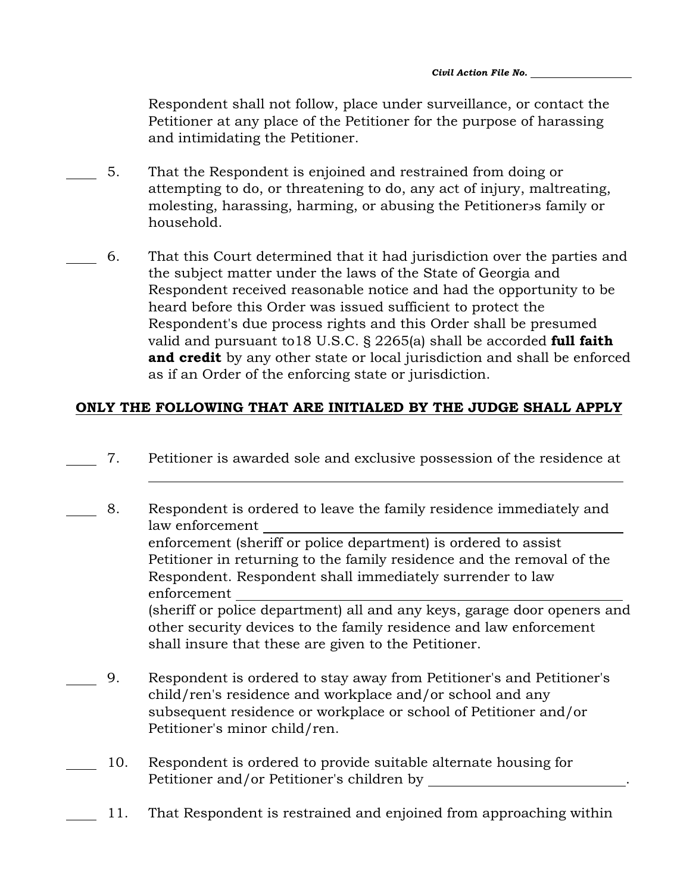Respondent shall not follow, place under surveillance, or contact the Petitioner at any place of the Petitioner for the purpose of harassing and intimidating the Petitioner.

- 5. That the Respondent is enjoined and restrained from doing or attempting to do, or threatening to do, any act of injury, maltreating, molesting, harassing, harming, or abusing the Petitioner s family or household.
- 6. That this Court determined that it had jurisdiction over the parties and the subject matter under the laws of the State of Georgia and Respondent received reasonable notice and had the opportunity to be heard before this Order was issued sufficient to protect the Respondent's due process rights and this Order shall be presumed valid and pursuant to 18 U.S.C.  $\S$  2265(a) shall be accorded full faith and credit by any other state or local jurisdiction and shall be enforced as if an Order of the enforcing state or jurisdiction.

# ONLY THE FOLLOWING THAT ARE INITIALED BY THE JUDGE SHALL APPLY

7. Petitioner is awarded sole and exclusive possession of the residence at

 $\overline{a}$ 

- 8. Respondent is ordered to leave the family residence immediately and law enforcement enforcement (sheriff or police department) is ordered to assist Petitioner in returning to the family residence and the removal of the Respondent. Respondent shall immediately surrender to law enforcement (sheriff or police department) all and any keys, garage door openers and other security devices to the family residence and law enforcement shall insure that these are given to the Petitioner.
- 9. Respondent is ordered to stay away from Petitioner's and Petitioner's child/ren's residence and workplace and/or school and any subsequent residence or workplace or school of Petitioner and/or Petitioner's minor child/ren.
- 10. Respondent is ordered to provide suitable alternate housing for Petitioner and/or Petitioner's children by .
	- 11. That Respondent is restrained and enjoined from approaching within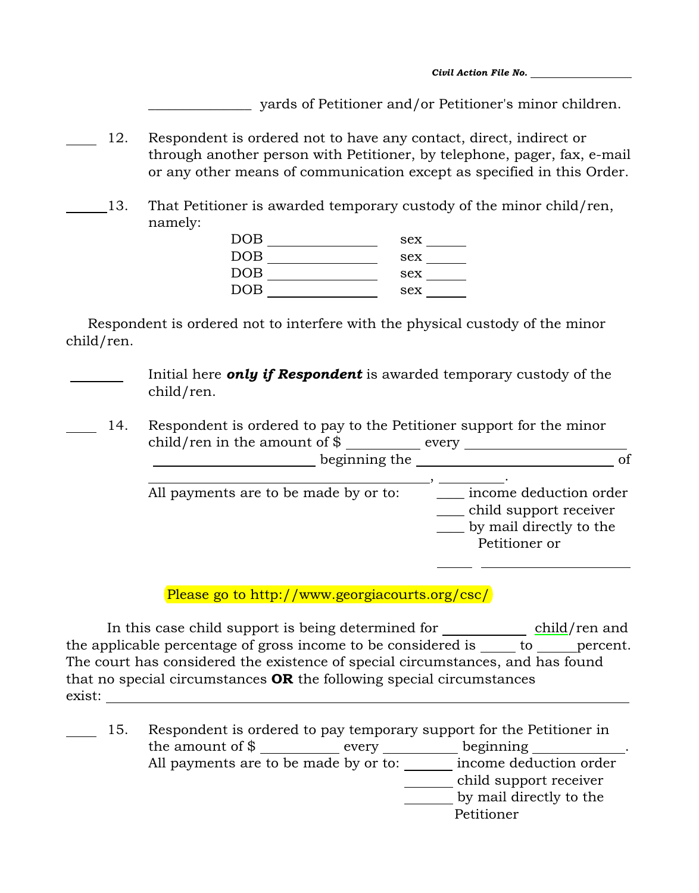*Civil Action File No.* 

\_\_\_\_\_\_\_\_\_\_\_\_\_\_\_ yards of Petitioner and/or Petitioner's minor children.

- 12. Respondent is ordered not to have any contact, direct, indirect or through another person with Petitioner, by telephone, pager, fax, e-mail or any other means of communication except as specified in this Order.
- 13. That Petitioner is awarded temporary custody of the minor child/ren, namely:

| <b>DOB</b> | sex |  |
|------------|-----|--|
| <b>DOB</b> | sex |  |
| <b>DOB</b> | sex |  |
| <b>DOB</b> | sex |  |

Respondent is ordered not to interfere with the physical custody of the minor child/ren.

> Initial here *only if Respondent* is awarded temporary custody of the child/ren.

 14. Respondent is ordered to pay to the Petitioner support for the minor  $\chi$ child/ren in the amount of  $\$\_$ beginning the of

| All payments are to be made by or to: | income deduction order<br>child support receiver<br>by mail directly to the<br>Petitioner or |
|---------------------------------------|----------------------------------------------------------------------------------------------|
|                                       |                                                                                              |

Please go to http://www.georgiacourts.org/csc/

In this case child support is being determined for <u>child</u>/ren and the applicable percentage of gross income to be considered is  $\rule{1em}{0.15mm}$  to percent. The court has considered the existence of special circumstances, and has found that no special circumstances OR the following special circumstances exist:

15. Respondent is ordered to pay temporary support for the Petitioner in the amount of  $\frac{1}{2}$  every every beginning All payments are to be made by or to:  $\qquad \qquad$  income deduction order child support receiver by mail directly to the

Petitioner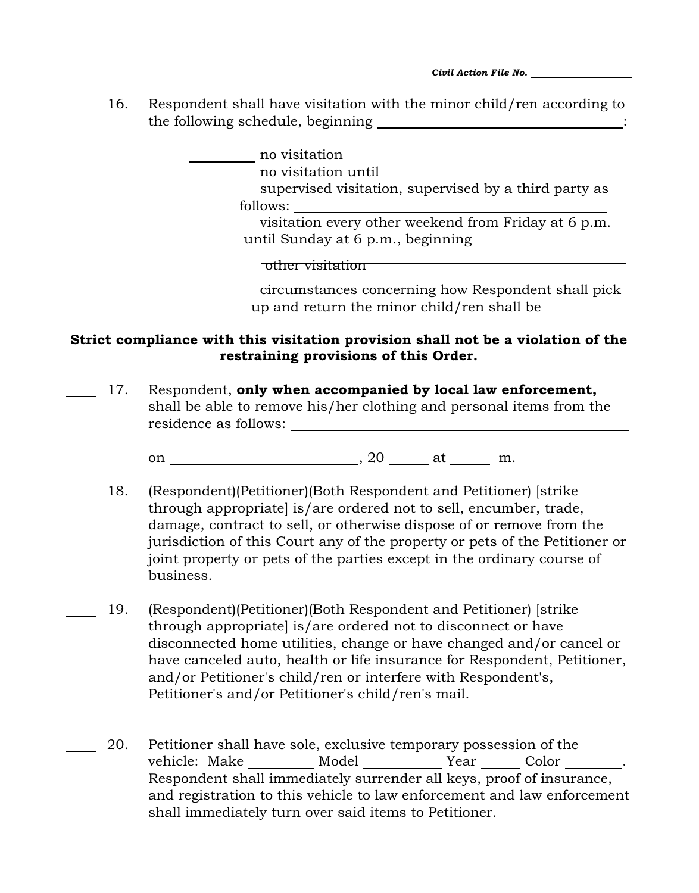*Civil Action File No.* 

 16. Respondent shall have visitation with the minor child/ren according to the following schedule, beginning :

> no visitation no visitation until supervised visitation, supervised by a third party as follows: visitation every other weekend from Friday at 6 p.m. until Sunday at 6 p.m., beginning other visitation circumstances concerning how Respondent shall pick

> > up and return the minor child/ren shall be

## Strict compliance with this visitation provision shall not be a violation of the restraining provisions of this Order.

17. Respondent, only when accompanied by local law enforcement, shall be able to remove his/her clothing and personal items from the residence as follows:

on , 20 at m.

- 18. (Respondent)(Petitioner)(Both Respondent and Petitioner) [strike through appropriate] is/are ordered not to sell, encumber, trade, damage, contract to sell, or otherwise dispose of or remove from the jurisdiction of this Court any of the property or pets of the Petitioner or joint property or pets of the parties except in the ordinary course of business.
- 19. (Respondent)(Petitioner)(Both Respondent and Petitioner) [strike through appropriate] is/are ordered not to disconnect or have disconnected home utilities, change or have changed and/or cancel or have canceled auto, health or life insurance for Respondent, Petitioner, and/or Petitioner's child/ren or interfere with Respondent's, Petitioner's and/or Petitioner's child/ren's mail.
- 20. Petitioner shall have sole, exclusive temporary possession of the vehicle: Make \_\_\_\_\_\_\_\_ Model \_\_\_\_\_\_\_\_\_\_ Year \_\_\_\_\_\_ Color \_\_\_\_\_\_\_. Respondent shall immediately surrender all keys, proof of insurance, and registration to this vehicle to law enforcement and law enforcement shall immediately turn over said items to Petitioner.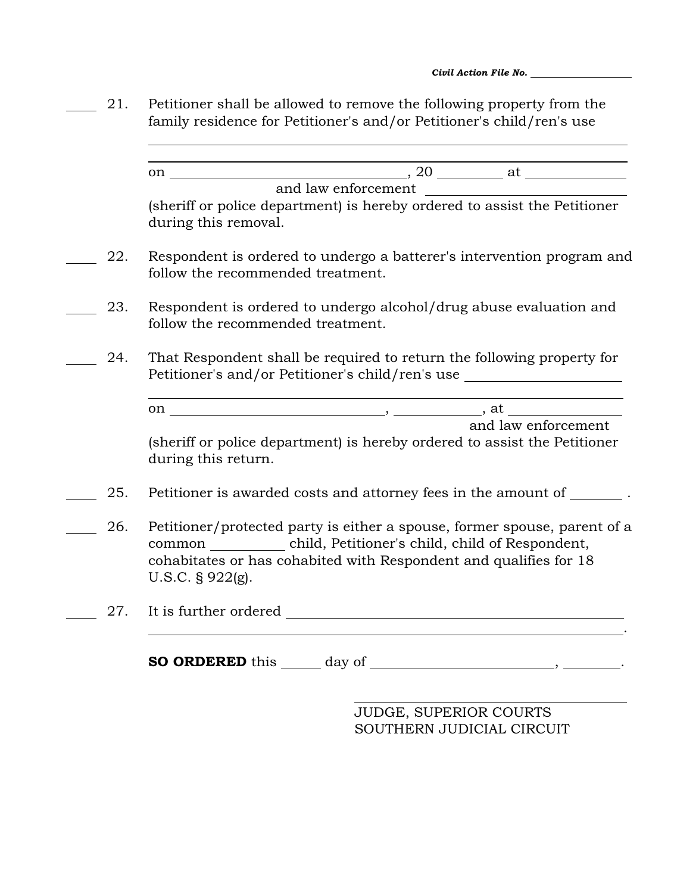- 21. Petitioner shall be allowed to remove the following property from the family residence for Petitioner's and/or Petitioner's child/ren's use
- l on , 20 at and law enforcement (sheriff or police department) is hereby ordered to assist the Petitioner during this removal. 22. Respondent is ordered to undergo a batterer's intervention program and follow the recommended treatment. 23. Respondent is ordered to undergo alcohol/drug abuse evaluation and follow the recommended treatment. 24. That Respondent shall be required to return the following property for Petitioner's and/or Petitioner's child/ren's use  $\overline{a}$ on  $\qquad \qquad , \qquad \qquad ,$  at  $\qquad \qquad$  and law enforcement (sheriff or police department) is hereby ordered to assist the Petitioner during this return. 25. Petitioner is awarded costs and attorney fees in the amount of  $\qquad$ . 26. Petitioner/protected party is either a spouse, former spouse, parent of a common child, Petitioner's child, child of Respondent, cohabitates or has cohabited with Respondent and qualifies for 18 U.S.C. § 922(g). 27. It is further ordered 27. . SO ORDERED this day of , the set of  $\sim$

l

JUDGE, SUPERIOR COURTS SOUTHERN JUDICIAL CIRCUIT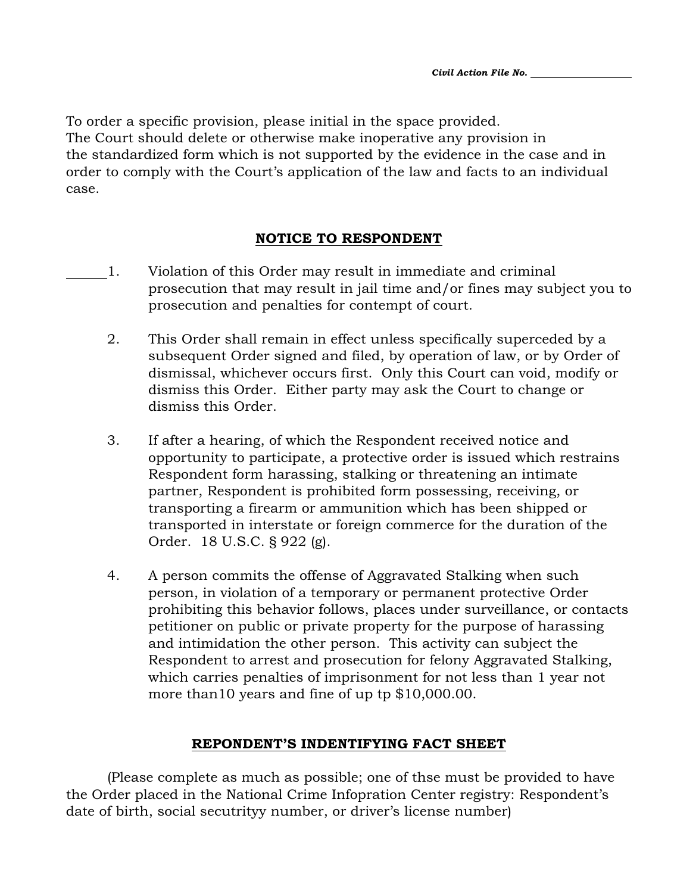To order a specific provision, please initial in the space provided. The Court should delete or otherwise make inoperative any provision in the standardized form which is not supported by the evidence in the case and in order to comply with the Court's application of the law and facts to an individual case.

### NOTICE TO RESPONDENT

- 1. Violation of this Order may result in immediate and criminal prosecution that may result in jail time and/or fines may subject you to prosecution and penalties for contempt of court.
	- 2. This Order shall remain in effect unless specifically superceded by a subsequent Order signed and filed, by operation of law, or by Order of dismissal, whichever occurs first. Only this Court can void, modify or dismiss this Order. Either party may ask the Court to change or dismiss this Order.
	- 3. If after a hearing, of which the Respondent received notice and opportunity to participate, a protective order is issued which restrains Respondent form harassing, stalking or threatening an intimate partner, Respondent is prohibited form possessing, receiving, or transporting a firearm or ammunition which has been shipped or transported in interstate or foreign commerce for the duration of the Order. 18 U.S.C. § 922 (g).
	- 4. A person commits the offense of Aggravated Stalking when such person, in violation of a temporary or permanent protective Order prohibiting this behavior follows, places under surveillance, or contacts petitioner on public or private property for the purpose of harassing and intimidation the other person. This activity can subject the Respondent to arrest and prosecution for felony Aggravated Stalking, which carries penalties of imprisonment for not less than 1 year not more than10 years and fine of up tp \$10,000.00.

### REPONDENT'S INDENTIFYING FACT SHEET

(Please complete as much as possible; one of thse must be provided to have the Order placed in the National Crime Infopration Center registry: Respondent's date of birth, social secutrityy number, or driver's license number)